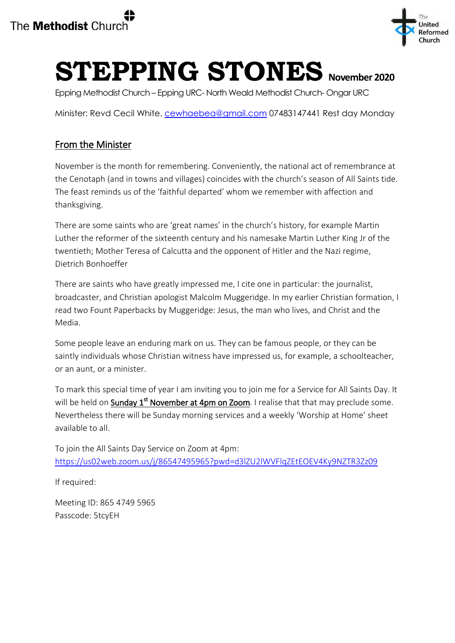

# **STEPPING STONES November 2020**

Epping Methodist Church – Epping URC- North Weald Methodist Church- Ongar URC

Minister: Revd Cecil White. [cewhaebea@gmail.com](mailto:cewhaebea@gmail.com) 07483147441 Rest day Monday

# From the Minister

November is the month for remembering. Conveniently, the national act of remembrance at the Cenotaph (and in towns and villages) coincides with the church's season of All Saints tide. The feast reminds us of the 'faithful departed' whom we remember with affection and thanksgiving.

There are some saints who are 'great names' in the church's history, for example Martin Luther the reformer of the sixteenth century and his namesake Martin Luther King Jr of the twentieth; Mother Teresa of Calcutta and the opponent of Hitler and the Nazi regime, Dietrich Bonhoeffer

There are saints who have greatly impressed me, I cite one in particular: the journalist, broadcaster, and Christian apologist Malcolm Muggeridge. In my earlier Christian formation, I read two Fount Paperbacks by Muggeridge: Jesus, the man who lives, and Christ and the Media.

Some people leave an enduring mark on us. They can be famous people, or they can be saintly individuals whose Christian witness have impressed us, for example, a schoolteacher, or an aunt, or a minister.

To mark this special time of year I am inviting you to join me for a Service for All Saints Day. It will be held on Sunday 1<sup>st</sup> November at 4pm on Zoom. I realise that that may preclude some. Nevertheless there will be Sunday morning services and a weekly 'Worship at Home' sheet available to all.

To join the All Saints Day Service on Zoom at 4pm: <https://us02web.zoom.us/j/86547495965?pwd=d3lZU2lWVFlqZEtEOEV4Ky9NZTR3Zz09>

If required:

Meeting ID: 865 4749 5965 Passcode: 5tcyEH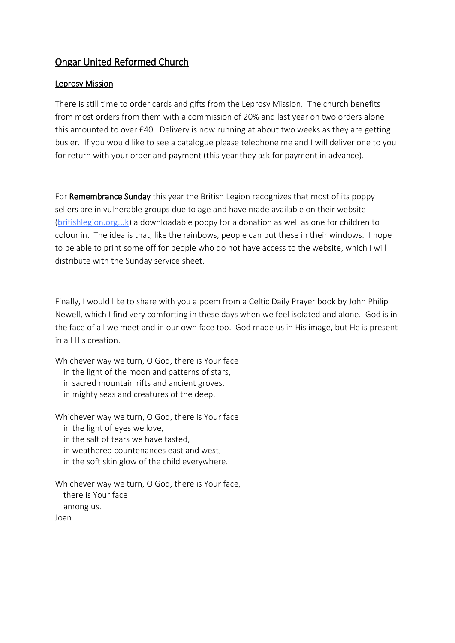## Ongar United Reformed Church

#### Leprosy Mission

There is still time to order cards and gifts from the Leprosy Mission. The church benefits from most orders from them with a commission of 20% and last year on two orders alone this amounted to over £40. Delivery is now running at about two weeks as they are getting busier. If you would like to see a catalogue please telephone me and I will deliver one to you for return with your order and payment (this year they ask for payment in advance).

For Remembrance Sunday this year the British Legion recognizes that most of its poppy sellers are in vulnerable groups due to age and have made available on their website [\(britishlegion.org.uk\)](http://britishlegion.org.uk/) a downloadable poppy for a donation as well as one for children to colour in. The idea is that, like the rainbows, people can put these in their windows. I hope to be able to print some off for people who do not have access to the website, which I will distribute with the Sunday service sheet.

Finally, I would like to share with you a poem from a Celtic Daily Prayer book by John Philip Newell, which I find very comforting in these days when we feel isolated and alone. God is in the face of all we meet and in our own face too. God made us in His image, but He is present in all His creation.

Whichever way we turn, O God, there is Your face in the light of the moon and patterns of stars, in sacred mountain rifts and ancient groves, in mighty seas and creatures of the deep.

Whichever way we turn, O God, there is Your face in the light of eyes we love, in the salt of tears we have tasted, in weathered countenances east and west, in the soft skin glow of the child everywhere.

Whichever way we turn, O God, there is Your face, there is Your face among us. Joan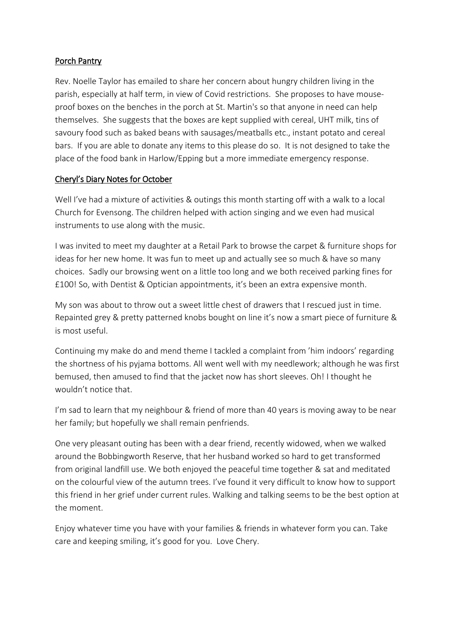#### Porch Pantry

Rev. Noelle Taylor has emailed to share her concern about hungry children living in the parish, especially at half term, in view of Covid restrictions. She proposes to have mouseproof boxes on the benches in the porch at St. Martin's so that anyone in need can help themselves. She suggests that the boxes are kept supplied with cereal, UHT milk, tins of savoury food such as baked beans with sausages/meatballs etc., instant potato and cereal bars. If you are able to donate any items to this please do so. It is not designed to take the place of the food bank in Harlow/Epping but a more immediate emergency response.

#### Cheryl's Diary Notes for October

Well I've had a mixture of activities & outings this month starting off with a walk to a local Church for Evensong. The children helped with action singing and we even had musical instruments to use along with the music.

I was invited to meet my daughter at a Retail Park to browse the carpet & furniture shops for ideas for her new home. It was fun to meet up and actually see so much & have so many choices. Sadly our browsing went on a little too long and we both received parking fines for £100! So, with Dentist & Optician appointments, it's been an extra expensive month.

My son was about to throw out a sweet little chest of drawers that I rescued just in time. Repainted grey & pretty patterned knobs bought on line it's now a smart piece of furniture & is most useful.

Continuing my make do and mend theme I tackled a complaint from 'him indoors' regarding the shortness of his pyjama bottoms. All went well with my needlework; although he was first bemused, then amused to find that the jacket now has short sleeves. Oh! I thought he wouldn't notice that.

I'm sad to learn that my neighbour & friend of more than 40 years is moving away to be near her family; but hopefully we shall remain penfriends.

One very pleasant outing has been with a dear friend, recently widowed, when we walked around the Bobbingworth Reserve, that her husband worked so hard to get transformed from original landfill use. We both enjoyed the peaceful time together & sat and meditated on the colourful view of the autumn trees. I've found it very difficult to know how to support this friend in her grief under current rules. Walking and talking seems to be the best option at the moment.

Enjoy whatever time you have with your families & friends in whatever form you can. Take care and keeping smiling, it's good for you. Love Chery.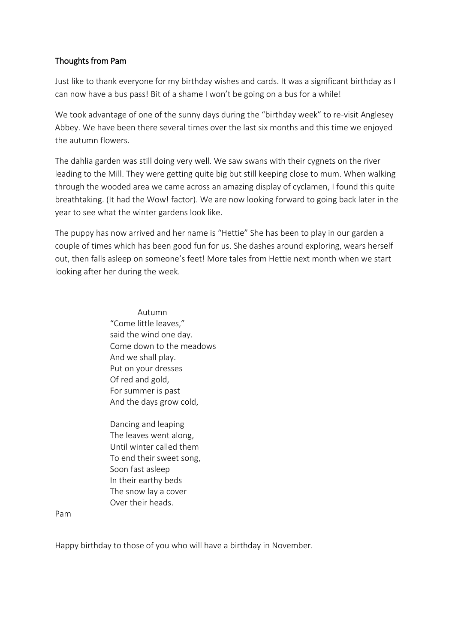#### Thoughts from Pam

Just like to thank everyone for my birthday wishes and cards. It was a significant birthday as I can now have a bus pass! Bit of a shame I won't be going on a bus for a while!

We took advantage of one of the sunny days during the "birthday week" to re-visit Anglesey Abbey. We have been there several times over the last six months and this time we enjoyed the autumn flowers.

The dahlia garden was still doing very well. We saw swans with their cygnets on the river leading to the Mill. They were getting quite big but still keeping close to mum. When walking through the wooded area we came across an amazing display of cyclamen, I found this quite breathtaking. (It had the Wow! factor). We are now looking forward to going back later in the year to see what the winter gardens look like.

The puppy has now arrived and her name is "Hettie" She has been to play in our garden a couple of times which has been good fun for us. She dashes around exploring, wears herself out, then falls asleep on someone's feet! More tales from Hettie next month when we start looking after her during the week.

> Autumn "Come little leaves," said the wind one day. Come down to the meadows And we shall play. Put on your dresses Of red and gold, For summer is past And the days grow cold,

 Dancing and leaping The leaves went along, Until winter called them To end their sweet song, Soon fast asleep In their earthy beds The snow lay a cover Over their heads.

Pam

Happy birthday to those of you who will have a birthday in November.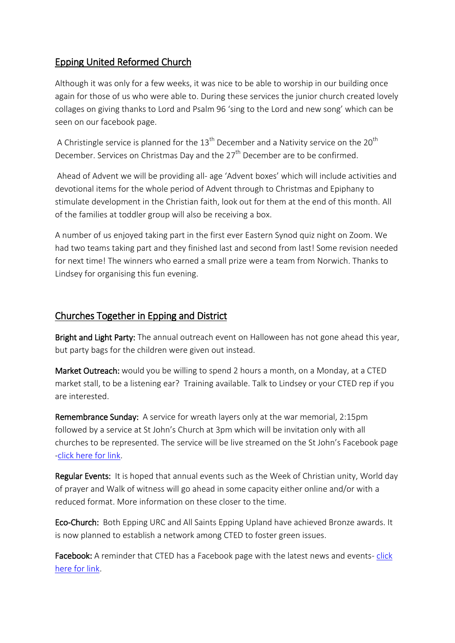## Epping United Reformed Church

Although it was only for a few weeks, it was nice to be able to worship in our building once again for those of us who were able to. During these services the junior church created lovely collages on giving thanks to Lord and Psalm 96 'sing to the Lord and new song' which can be seen on our facebook page.

A Christingle service is planned for the  $13<sup>th</sup>$  December and a Nativity service on the 20<sup>th</sup> December. Services on Christmas Day and the 27<sup>th</sup> December are to be confirmed.

 Ahead of Advent we will be providing all- age 'Advent boxes' which will include activities and devotional items for the whole period of Advent through to Christmas and Epiphany to stimulate development in the Christian faith, look out for them at the end of this month. All of the families at toddler group will also be receiving a box.

A number of us enjoyed taking part in the first ever Eastern Synod quiz night on Zoom. We had two teams taking part and they finished last and second from last! Some revision needed for next time! The winners who earned a small prize were a team from Norwich. Thanks to Lindsey for organising this fun evening.

## Churches Together in Epping and District

Bright and Light Party: The annual outreach event on Halloween has not gone ahead this year, but party bags for the children were given out instead.

Market Outreach: would you be willing to spend 2 hours a month, on a Monday, at a CTED market stall, to be a listening ear? Training available. Talk to Lindsey or your CTED rep if you are interested.

Remembrance Sunday: A service for wreath layers only at the war memorial, 2:15pm followed by a service at St John's Church at 3pm which will be invitation only with all churches to be represented. The service will be live streamed on the St John's Facebook page [-click here for link.](https://www.facebook.com/eppingchurchUK/?ref=py_c)

Regular Events: It is hoped that annual events such as the Week of Christian unity, World day of prayer and Walk of witness will go ahead in some capacity either online and/or with a reduced format. More information on these closer to the time.

Eco-Church: Both Epping URC and All Saints Epping Upland have achieved Bronze awards. It is now planned to establish a network among CTED to foster green issues.

Facebook: A reminder that CTED has a Facebook page with the latest news and events-click [here for link.](https://www.facebook.com/Churches-Together-in-Epping-and-District-1756379178009744/)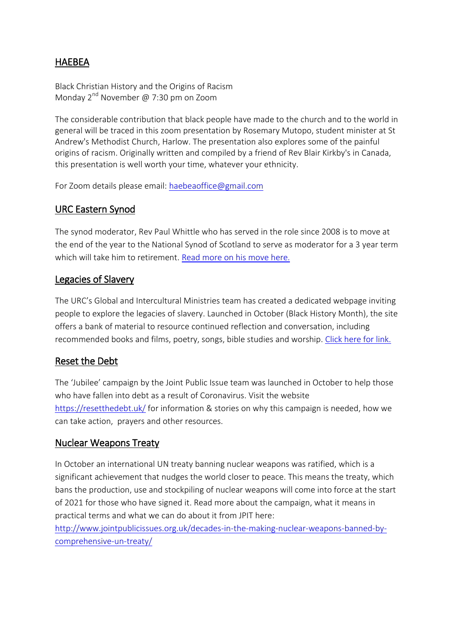# HAEBEA

Black Christian History and the Origins of Racism Monday  $2^{nd}$  November @ 7:30 pm on Zoom

The considerable contribution that black people have made to the church and to the world in general will be traced in this zoom presentation by Rosemary Mutopo, student minister at St Andrew's Methodist Church, Harlow. The presentation also explores some of the painful origins of racism. Originally written and compiled by a friend of Rev Blair Kirkby's in Canada, this presentation is well worth your time, whatever your ethnicity.

For Zoom details please email: [haebeaoffice@gmail.com](mailto:haebeaoffice@gmail.com)

## URC Eastern Synod

The synod moderator, Rev Paul Whittle who has served in the role since 2008 is to move at the end of the year to the National Synod of Scotland to serve as moderator for a 3 year term which will take him to retirement. [Read more on his move here.](https://urc.org.uk/latest-news/3599-urc-moderator-paul-whittle-returning-to-scotland.html)

## Legacies of Slavery

The URC's Global and Intercultural Ministries team has created a dedicated webpage inviting people to explore the legacies of slavery. Launched in October (Black History Month), the site offers a bank of material to resource continued reflection and conversation, including recommended books and films, poetry, songs, bible studies and worship. [Click here for link.](https://urc.org.uk/our-work/legacies-of-slavery.html)

# Reset the Debt

The 'Jubilee' campaign by the Joint Public Issue team was launched in October to help those who have fallen into debt as a result of Coronavirus. Visit the website <https://resetthedebt.uk/>for information & stories on why this campaign is needed, how we can take action, prayers and other resources.

### Nuclear Weapons Treaty

In October an international UN treaty banning nuclear weapons was ratified, which is a significant achievement that nudges the world closer to peace. This means the treaty, which bans the production, use and stockpiling of nuclear weapons will come into force at the start of 2021 for those who have signed it. Read more about the campaign, what it means in practical terms and what we can do about it from JPIT here:

[http://www.jointpublicissues.org.uk/decades-in-the-making-nuclear-weapons-banned-by](http://www.jointpublicissues.org.uk/decades-in-the-making-nuclear-weapons-banned-by-comprehensive-un-treaty/)[comprehensive-un-treaty/](http://www.jointpublicissues.org.uk/decades-in-the-making-nuclear-weapons-banned-by-comprehensive-un-treaty/)